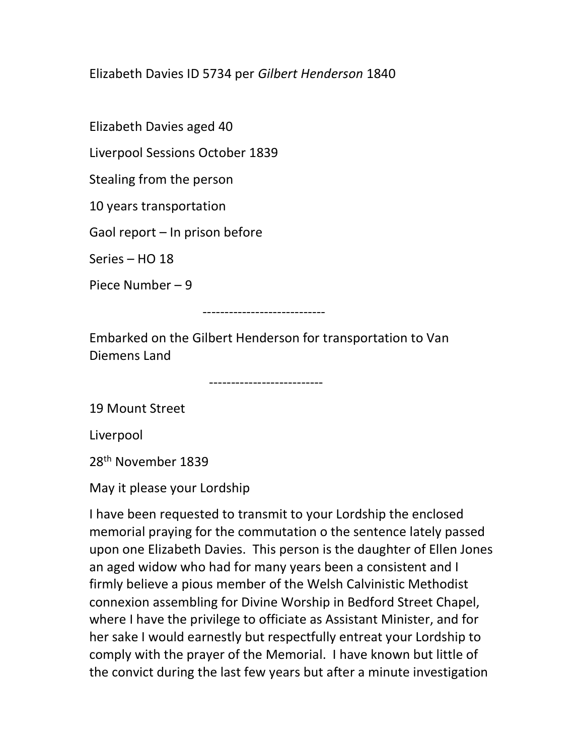## Elizabeth Davies ID 5734 per Gilbert Henderson 1840

Elizabeth Davies aged 40

Liverpool Sessions October 1839

Stealing from the person

10 years transportation

Gaol report – In prison before

Series – HO 18

Piece Number – 9

----------------------------

Embarked on the Gilbert Henderson for transportation to Van Diemens Land

--------------------------

19 Mount Street

Liverpool

28th November 1839

May it please your Lordship

I have been requested to transmit to your Lordship the enclosed memorial praying for the commutation o the sentence lately passed upon one Elizabeth Davies. This person is the daughter of Ellen Jones an aged widow who had for many years been a consistent and I firmly believe a pious member of the Welsh Calvinistic Methodist connexion assembling for Divine Worship in Bedford Street Chapel, where I have the privilege to officiate as Assistant Minister, and for her sake I would earnestly but respectfully entreat your Lordship to comply with the prayer of the Memorial. I have known but little of the convict during the last few years but after a minute investigation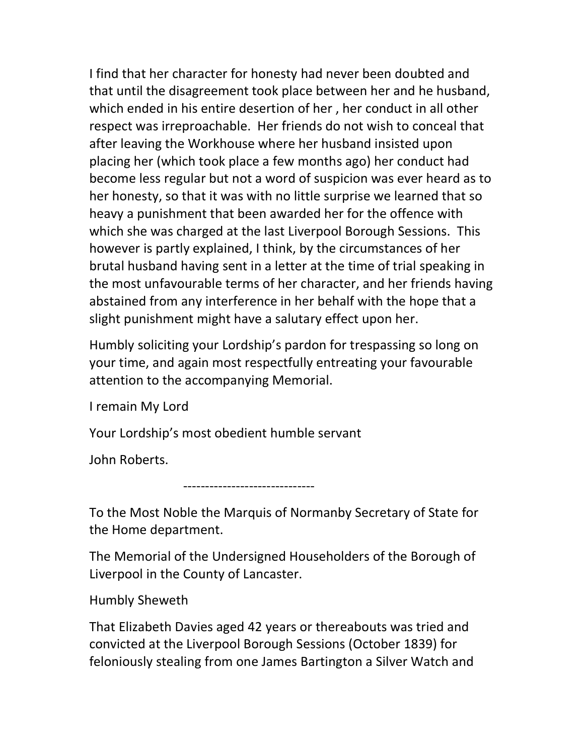I find that her character for honesty had never been doubted and that until the disagreement took place between her and he husband, which ended in his entire desertion of her , her conduct in all other respect was irreproachable. Her friends do not wish to conceal that after leaving the Workhouse where her husband insisted upon placing her (which took place a few months ago) her conduct had become less regular but not a word of suspicion was ever heard as to her honesty, so that it was with no little surprise we learned that so heavy a punishment that been awarded her for the offence with which she was charged at the last Liverpool Borough Sessions. This however is partly explained, I think, by the circumstances of her brutal husband having sent in a letter at the time of trial speaking in the most unfavourable terms of her character, and her friends having abstained from any interference in her behalf with the hope that a slight punishment might have a salutary effect upon her.

Humbly soliciting your Lordship's pardon for trespassing so long on your time, and again most respectfully entreating your favourable attention to the accompanying Memorial.

I remain My Lord

Your Lordship's most obedient humble servant

John Roberts.

------------------------------

To the Most Noble the Marquis of Normanby Secretary of State for the Home department.

The Memorial of the Undersigned Householders of the Borough of Liverpool in the County of Lancaster.

Humbly Sheweth

That Elizabeth Davies aged 42 years or thereabouts was tried and convicted at the Liverpool Borough Sessions (October 1839) for feloniously stealing from one James Bartington a Silver Watch and